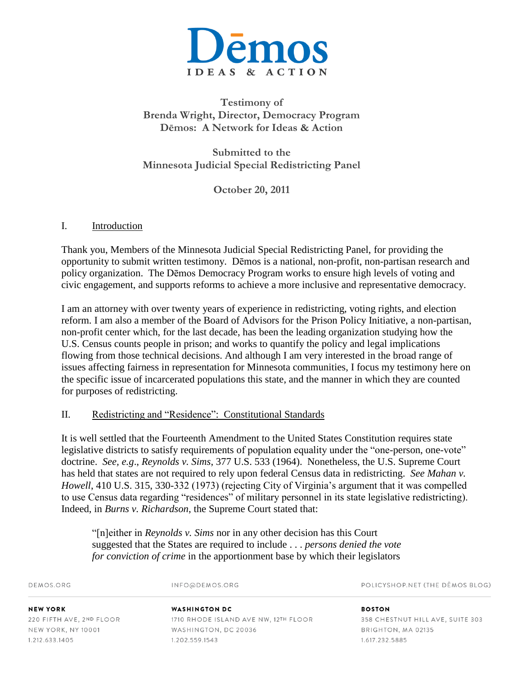

# **Testimony of Brenda Wright, Director, Democracy Program Dēmos: A Network for Ideas & Action**

**Submitted to the Minnesota Judicial Special Redistricting Panel**

**October 20, 2011**

#### I. Introduction

Thank you, Members of the Minnesota Judicial Special Redistricting Panel, for providing the opportunity to submit written testimony. Dēmos is a national, non-profit, non-partisan research and policy organization. The Dēmos Democracy Program works to ensure high levels of voting and civic engagement, and supports reforms to achieve a more inclusive and representative democracy.

I am an attorney with over twenty years of experience in redistricting, voting rights, and election reform. I am also a member of the Board of Advisors for the Prison Policy Initiative, a non-partisan, non-profit center which, for the last decade, has been the leading organization studying how the U.S. Census counts people in prison; and works to quantify the policy and legal implications flowing from those technical decisions. And although I am very interested in the broad range of issues affecting fairness in representation for Minnesota communities, I focus my testimony here on the specific issue of incarcerated populations this state, and the manner in which they are counted for purposes of redistricting.

### II. Redistricting and "Residence": Constitutional Standards

It is well settled that the Fourteenth Amendment to the United States Constitution requires state legislative districts to satisfy requirements of population equality under the "one-person, one-vote" doctrine. *See, e.g*., *Reynolds v. Sims*, 377 U.S. 533 (1964). Nonetheless, the U.S. Supreme Court has held that states are not required to rely upon federal Census data in redistricting. *See Mahan v. Howell*, 410 U.S. 315, 330-332 (1973) (rejecting City of Virginia's argument that it was compelled to use Census data regarding "residences" of military personnel in its state legislative redistricting). Indeed, in *Burns v. Richardson*, the Supreme Court stated that:

"[n]either in *Reynolds v. Sims* nor in any other decision has this Court suggested that the States are required to include . . . *persons denied the vote for conviction of crime* in the apportionment base by which their legislators

| DEMOS.ORG                | INFO@DEMOS.ORG                       | POLICYSHOP.NET (THE DEMOS BLOG)  |
|--------------------------|--------------------------------------|----------------------------------|
| <b>NEW YORK</b>          | <b>WASHINGTON DC</b>                 | <b>BOSTON</b>                    |
| 220 FIFTH AVE, 2ND FLOOR | 1710 RHODE ISLAND AVE NW, 12TH FLOOR | 358 CHESTNUT HILL AVE, SUITE 303 |
| NEW YORK, NY 10001       | WASHINGTON, DC 20036                 | BRIGHTON, MA 02135               |
| 1.212.633.1405           | 1.202.559.1543                       | 1.617.232.5885                   |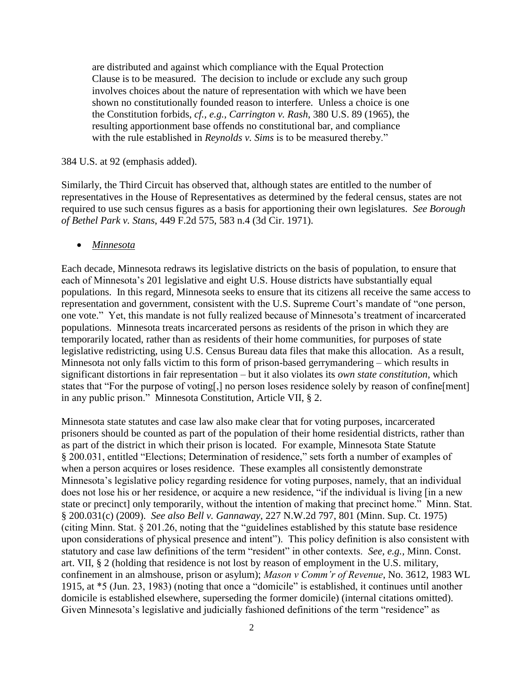are distributed and against which compliance with the Equal Protection Clause is to be measured. The decision to include or exclude any such group involves choices about the nature of representation with which we have been shown no constitutionally founded reason to interfere. Unless a choice is one the Constitution forbids, *cf., e.g., Carrington v. Rash*, 380 U.S. 89 (1965), the resulting apportionment base offends no constitutional bar, and compliance with the rule established in *Reynolds v. Sims* is to be measured thereby."

#### 384 U.S. at 92 (emphasis added).

Similarly, the Third Circuit has observed that, although states are entitled to the number of representatives in the House of Representatives as determined by the federal census, states are not required to use such census figures as a basis for apportioning their own legislatures. *See Borough of Bethel Park v. Stans*, 449 F.2d 575, 583 n.4 (3d Cir. 1971).

#### *Minnesota*

Each decade, Minnesota redraws its legislative districts on the basis of population, to ensure that each of Minnesota's 201 legislative and eight U.S. House districts have substantially equal populations. In this regard, Minnesota seeks to ensure that its citizens all receive the same access to representation and government, consistent with the U.S. Supreme Court's mandate of "one person, one vote." Yet, this mandate is not fully realized because of Minnesota's treatment of incarcerated populations. Minnesota treats incarcerated persons as residents of the prison in which they are temporarily located, rather than as residents of their home communities, for purposes of state legislative redistricting, using U.S. Census Bureau data files that make this allocation. As a result, Minnesota not only falls victim to this form of prison-based gerrymandering – which results in significant distortions in fair representation – but it also violates its *own state constitution*, which states that "For the purpose of voting[,] no person loses residence solely by reason of confine[ment] in any public prison." Minnesota Constitution, Article VII, § 2.

Minnesota state statutes and case law also make clear that for voting purposes, incarcerated prisoners should be counted as part of the population of their home residential districts, rather than as part of the district in which their prison is located. For example, Minnesota State Statute § 200.031, entitled "Elections; Determination of residence," sets forth a number of examples of when a person acquires or loses residence. These examples all consistently demonstrate Minnesota's legislative policy regarding residence for voting purposes, namely, that an individual does not lose his or her residence, or acquire a new residence, "if the individual is living [in a new state or precinct] only temporarily, without the intention of making that precinct home." Minn. Stat. § 200.031(c) (2009). *See also Bell v. Gannaway*, 227 N.W.2d 797, 801 (Minn. Sup. Ct. 1975) (citing Minn. Stat. § 201.26, noting that the "guidelines established by this statute base residence upon considerations of physical presence and intent"). This policy definition is also consistent with statutory and case law definitions of the term "resident" in other contexts. *See, e.g.,* Minn. Const. art. VII, § 2 (holding that residence is not lost by reason of employment in the U.S. military, confinement in an almshouse, prison or asylum); *Mason v Comm'r of Revenue*, No. 3612, 1983 WL 1915, at \*5 (Jun. 23, 1983) (noting that once a "domicile" is established, it continues until another domicile is established elsewhere, superseding the former domicile) (internal citations omitted). Given Minnesota's legislative and judicially fashioned definitions of the term "residence" as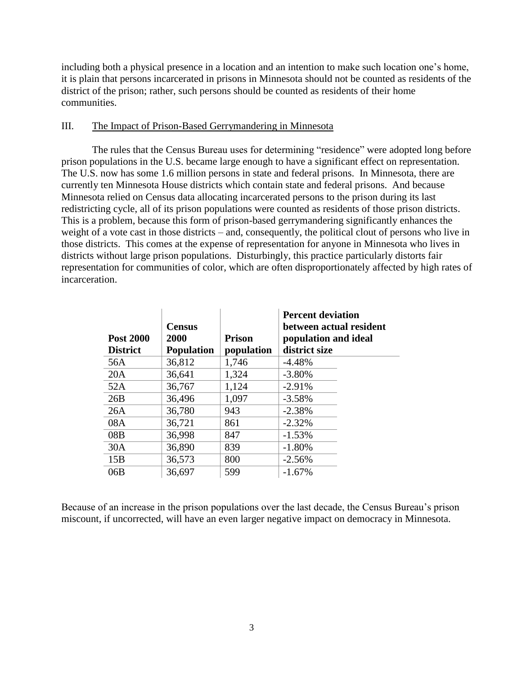including both a physical presence in a location and an intention to make such location one's home, it is plain that persons incarcerated in prisons in Minnesota should not be counted as residents of the district of the prison; rather, such persons should be counted as residents of their home communities.

## III. The Impact of Prison-Based Gerrymandering in Minnesota

The rules that the Census Bureau uses for determining "residence" were adopted long before prison populations in the U.S. became large enough to have a significant effect on representation. The U.S. now has some 1.6 million persons in state and federal prisons. In Minnesota, there are currently ten Minnesota House districts which contain state and federal prisons. And because Minnesota relied on Census data allocating incarcerated persons to the prison during its last redistricting cycle, all of its prison populations were counted as residents of those prison districts. This is a problem, because this form of prison-based gerrymandering significantly enhances the weight of a vote cast in those districts – and, consequently, the political clout of persons who live in those districts. This comes at the expense of representation for anyone in Minnesota who lives in districts without large prison populations. Disturbingly, this practice particularly distorts fair representation for communities of color, which are often disproportionately affected by high rates of incarceration.

| <b>Post 2000</b><br><b>District</b> | <b>Census</b><br>2000<br><b>Population</b> | <b>Prison</b><br>population | <b>Percent deviation</b><br>between actual resident<br>population and ideal<br>district size |
|-------------------------------------|--------------------------------------------|-----------------------------|----------------------------------------------------------------------------------------------|
| 56A                                 | 36,812                                     | 1,746                       | $-4.48%$                                                                                     |
| 20A                                 | 36,641                                     | 1,324                       | $-3.80%$                                                                                     |
| 52A                                 | 36,767                                     | 1,124                       | $-2.91%$                                                                                     |
| 26B                                 | 36,496                                     | 1,097                       | $-3.58%$                                                                                     |
| 26A                                 | 36,780                                     | 943                         | $-2.38%$                                                                                     |
| 08A                                 | 36,721                                     | 861                         | $-2.32%$                                                                                     |
| 08B                                 | 36,998                                     | 847                         | $-1.53%$                                                                                     |
| 30A                                 | 36,890                                     | 839                         | $-1.80%$                                                                                     |
| 15B                                 | 36,573                                     | 800                         | $-2.56%$                                                                                     |
| 06B                                 | 36,697                                     | 599                         | $-1.67%$                                                                                     |

Because of an increase in the prison populations over the last decade, the Census Bureau's prison miscount, if uncorrected, will have an even larger negative impact on democracy in Minnesota.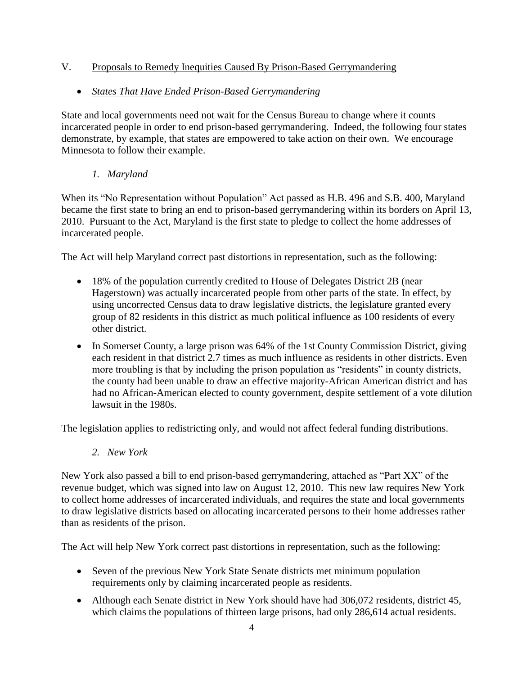# V. Proposals to Remedy Inequities Caused By Prison-Based Gerrymandering

## *States That Have Ended Prison-Based Gerrymandering*

State and local governments need not wait for the Census Bureau to change where it counts incarcerated people in order to end prison-based gerrymandering. Indeed, the following four states demonstrate, by example, that states are empowered to take action on their own. We encourage Minnesota to follow their example.

## *1. Maryland*

When its "No Representation without Population" Act passed as H.B. 496 and S.B. 400, Maryland became the first state to bring an end to prison-based gerrymandering within its borders on April 13, 2010. Pursuant to the Act, Maryland is the first state to pledge to collect the home addresses of incarcerated people.

The Act will help Maryland correct past distortions in representation, such as the following:

- 18% of the population currently credited to House of Delegates District 2B (near Hagerstown) was actually incarcerated people from other parts of the state. In effect, by using uncorrected Census data to draw legislative districts, the legislature granted every group of 82 residents in this district as much political influence as 100 residents of every other district.
- In Somerset County, a large prison was 64% of the 1st County Commission District, giving each resident in that district 2.7 times as much influence as residents in other districts. Even more troubling is that by including the prison population as "residents" in county districts, the county had been unable to draw an effective majority-African American district and has had no African-American elected to county government, despite settlement of a vote dilution lawsuit in the 1980s.

The legislation applies to redistricting only, and would not affect federal funding distributions.

*2. New York*

New York also passed a bill to end prison-based gerrymandering, attached as "Part XX" of the revenue budget, which was signed into law on August 12, 2010. This new law requires New York to collect home addresses of incarcerated individuals, and requires the state and local governments to draw legislative districts based on allocating incarcerated persons to their home addresses rather than as residents of the prison.

The Act will help New York correct past distortions in representation, such as the following:

- Seven of the previous New York State Senate districts met minimum population requirements only by claiming incarcerated people as residents.
- Although each Senate district in New York should have had 306,072 residents, district 45, which claims the populations of thirteen large prisons, had only 286,614 actual residents.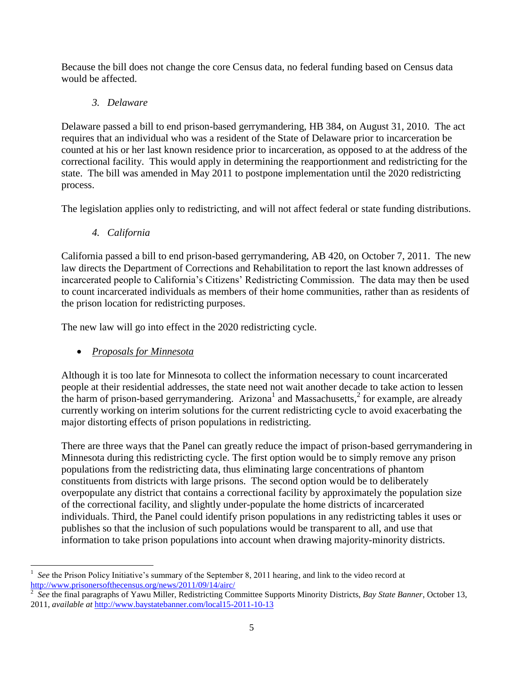Because the bill does not change the core Census data, no federal funding based on Census data would be affected.

## *3. Delaware*

Delaware passed a bill to end prison-based gerrymandering, HB 384, on August 31, 2010. The act requires that an individual who was a resident of the State of Delaware prior to incarceration be counted at his or her last known residence prior to incarceration, as opposed to at the address of the correctional facility. This would apply in determining the reapportionment and redistricting for the state. The bill was amended in May 2011 to postpone implementation until the 2020 redistricting process.

The legislation applies only to redistricting, and will not affect federal or state funding distributions.

*4. California*

California passed a bill to end prison-based gerrymandering, AB 420, on October 7, 2011. The new law directs the Department of Corrections and Rehabilitation to report the last known addresses of incarcerated people to California's Citizens' Redistricting Commission. The data may then be used to count incarcerated individuals as members of their home communities, rather than as residents of the prison location for redistricting purposes.

The new law will go into effect in the 2020 redistricting cycle.

# *Proposals for Minnesota*

Although it is too late for Minnesota to collect the information necessary to count incarcerated people at their residential addresses, the state need not wait another decade to take action to lessen the harm of prison-based gerrymandering. Arizona<sup>1</sup> and Massachusetts,  $2$  for example, are already currently working on interim solutions for the current redistricting cycle to avoid exacerbating the major distorting effects of prison populations in redistricting.

There are three ways that the Panel can greatly reduce the impact of prison-based gerrymandering in Minnesota during this redistricting cycle. The first option would be to simply remove any prison populations from the redistricting data, thus eliminating large concentrations of phantom constituents from districts with large prisons. The second option would be to deliberately overpopulate any district that contains a correctional facility by approximately the population size of the correctional facility, and slightly under-populate the home districts of incarcerated individuals. Third, the Panel could identify prison populations in any redistricting tables it uses or publishes so that the inclusion of such populations would be transparent to all, and use that information to take prison populations into account when drawing majority-minority districts.

l 1 *See* the Prison Policy Initiative's summary of the September 8, 2011 hearing, and link to the video record at <http://www.prisonersofthecensus.org/news/2011/09/14/airc/>

<sup>2</sup> *See* the final paragraphs of Yawu Miller, Redistricting Committee Supports Minority Districts, *Bay State Banner*, October 13, 2011, *available at* <http://www.baystatebanner.com/local15-2011-10-13>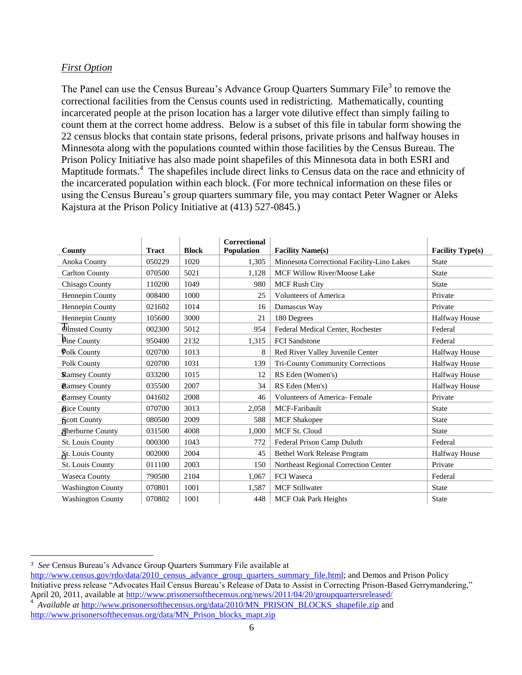#### *First Option*

The Panel can use the Census Bureau's Advance Group Quarters Summary File<sup>3</sup> to remove the correctional facilities from the Census counts used in redistricting. Mathematically, counting incarcerated people at the prison location has a larger vote dilutive effect than simply failing to count them at the correct home address. Below is a subset of this file in tabular form showing the 22 census blocks that contain state prisons, federal prisons, private prisons and halfway houses in Minnesota along with the populations counted within those facilities by the Census Bureau. The Prison Policy Initiative has also made point shapefiles of this Minnesota data in both ESRI and Maptitude formats.<sup>4</sup> The shapefiles include direct links to Census data on the race and ethnicity of the incarcerated population within each block. (For more technical information on these files or using the Census Bureau's group quarters summary file, you may contact Peter Wagner or Aleks Kajstura at the Prison Policy Initiative at (413) 527-0845.)

| County                   | <b>Tract</b> | <b>Block</b> | Correctional<br>Population | <b>Facility Name(s)</b>                    | <b>Facility Type(s)</b> |
|--------------------------|--------------|--------------|----------------------------|--------------------------------------------|-------------------------|
| Anoka County             | 050229       | 1020         | 1,305                      | Minnesota Correctional Facility-Lino Lakes | <b>State</b>            |
| <b>Carlton County</b>    | 070500       | 5021         | 1,128                      | <b>MCF Willow River/Moose Lake</b>         | <b>State</b>            |
| Chisago County           | 110200       | 1049         | 980                        | <b>MCF Rush City</b>                       | <b>State</b>            |
| Hennepin County          | 008400       | 1000         | 25                         | <b>Volunteers of America</b>               | Private                 |
| Hennepin County          | 021602       | 1014         | 16                         | Damascus Way                               | Private                 |
| Hennepin County          | 105600       | 3000         | 21                         | 180 Degrees                                | <b>Halfway House</b>    |
| <b>Olmsted County</b>    | 002300       | 5012         | 954                        | Federal Medical Center, Rochester          | Federal                 |
| Pine County              | 950400       | 2132         | 1,315                      | <b>FCI</b> Sandstone                       | Federal                 |
| Polk County              | 020700       | 1013         | 8                          | Red River Valley Juvenile Center           | <b>Halfway House</b>    |
| Polk County              | 020700       | 1031         | 139                        | Tri-County Community Corrections           | <b>Halfway House</b>    |
| <b>Ramsey County</b>     | 033200       | 1015         | 12                         | RS Eden (Women's)                          | <b>Halfway House</b>    |
| <b>Ramsey County</b>     | 035500       | 2007         | 34                         | RS Eden (Men's)                            | <b>Halfway House</b>    |
| <b>Ramsey County</b>     | 041602       | 2008         | 46                         | Volunteers of America- Female              | Private                 |
| <b>Rice County</b>       | 070700       | 3013         | 2,058                      | MCF-Faribault                              | <b>State</b>            |
| <b>Scott County</b>      | 080500       | 2009         | 588                        | <b>MCF</b> Shakopee                        | <b>State</b>            |
| <b>A</b> herburne County | 031500       | 4008         | 1,000                      | <b>MCF St. Cloud</b>                       | <b>State</b>            |
| St. Louis County         | 000300       | 1043         | 772                        | Federal Prison Camp Duluth                 | Federal                 |
| <b>St.</b> Louis County  | 002000       | 2004         | 45                         | Bethel Work Release Program                | <b>Halfway House</b>    |
| <b>St. Louis County</b>  | 011100       | 2003         | 150                        | Northeast Regional Correction Center       | Private                 |
| Waseca County            | 790500       | 2104         | 1,067                      | FCI Waseca                                 | Federal                 |
| <b>Washington County</b> | 070801       | 1001         | 1,587                      | <b>MCF Stillwater</b>                      | <b>State</b>            |
| <b>Washington County</b> | 070802       | 1001         | 448                        | <b>MCF Oak Park Heights</b>                | <b>State</b>            |

 $\overline{\phantom{a}}$ 

4 *Available at* [http://www.prisonersofthecensus.org/data/2010/MN\\_PRISON\\_BLOCKS\\_shapefile.zip](http://www.prisonersofthecensus.org/data/2010/MN_PRISON_BLOCKS_shapefile.zip) and [http://www.prisonersofthecensus.org/data/MN\\_Prison\\_blocks\\_mapt.zip](http://www.prisonersofthecensus.org/data/MN_Prison_blocks_mapt.zip)

<sup>3</sup> *See* Census Bureau's Advance Group Quarters Summary File available at

[http://www.census.gov/rdo/data/2010\\_census\\_advance\\_group\\_quarters\\_summary\\_file.html;](http://www.census.gov/rdo/data/2010_census_advance_group_quarters_summary_file.html) and Demos and Prison Policy Initiative press release "Advocates Hail Census Bureau's Release of Data to Assist in Correcting Prison-Based Gerrymandering," April 20, 2011, available at<http://www.prisonersofthecensus.org/news/2011/04/20/groupquartersreleased/>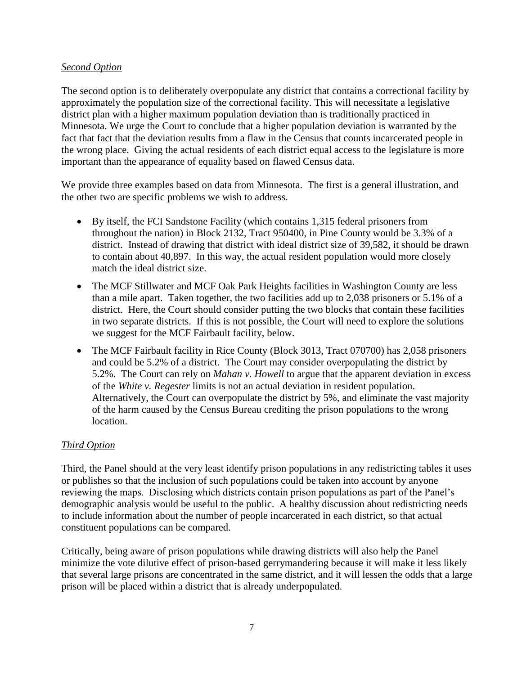#### *Second Option*

The second option is to deliberately overpopulate any district that contains a correctional facility by approximately the population size of the correctional facility. This will necessitate a legislative district plan with a higher maximum population deviation than is traditionally practiced in Minnesota. We urge the Court to conclude that a higher population deviation is warranted by the fact that fact that the deviation results from a flaw in the Census that counts incarcerated people in the wrong place. Giving the actual residents of each district equal access to the legislature is more important than the appearance of equality based on flawed Census data.

We provide three examples based on data from Minnesota. The first is a general illustration, and the other two are specific problems we wish to address.

- By itself, the FCI Sandstone Facility (which contains 1,315 federal prisoners from throughout the nation) in Block 2132, Tract 950400, in Pine County would be 3.3% of a district. Instead of drawing that district with ideal district size of 39,582, it should be drawn to contain about 40,897. In this way, the actual resident population would more closely match the ideal district size.
- The MCF Stillwater and MCF Oak Park Heights facilities in Washington County are less than a mile apart. Taken together, the two facilities add up to 2,038 prisoners or 5.1% of a district. Here, the Court should consider putting the two blocks that contain these facilities in two separate districts. If this is not possible, the Court will need to explore the solutions we suggest for the MCF Fairbault facility, below.
- The MCF Fairbault facility in Rice County (Block 3013, Tract 070700) has 2,058 prisoners and could be 5.2% of a district. The Court may consider overpopulating the district by 5.2%. The Court can rely on *Mahan v. Howell* to argue that the apparent deviation in excess of the *White v. Regester* limits is not an actual deviation in resident population. Alternatively, the Court can overpopulate the district by 5%, and eliminate the vast majority of the harm caused by the Census Bureau crediting the prison populations to the wrong location.

### *Third Option*

Third, the Panel should at the very least identify prison populations in any redistricting tables it uses or publishes so that the inclusion of such populations could be taken into account by anyone reviewing the maps. Disclosing which districts contain prison populations as part of the Panel's demographic analysis would be useful to the public. A healthy discussion about redistricting needs to include information about the number of people incarcerated in each district, so that actual constituent populations can be compared.

Critically, being aware of prison populations while drawing districts will also help the Panel minimize the vote dilutive effect of prison-based gerrymandering because it will make it less likely that several large prisons are concentrated in the same district, and it will lessen the odds that a large prison will be placed within a district that is already underpopulated.